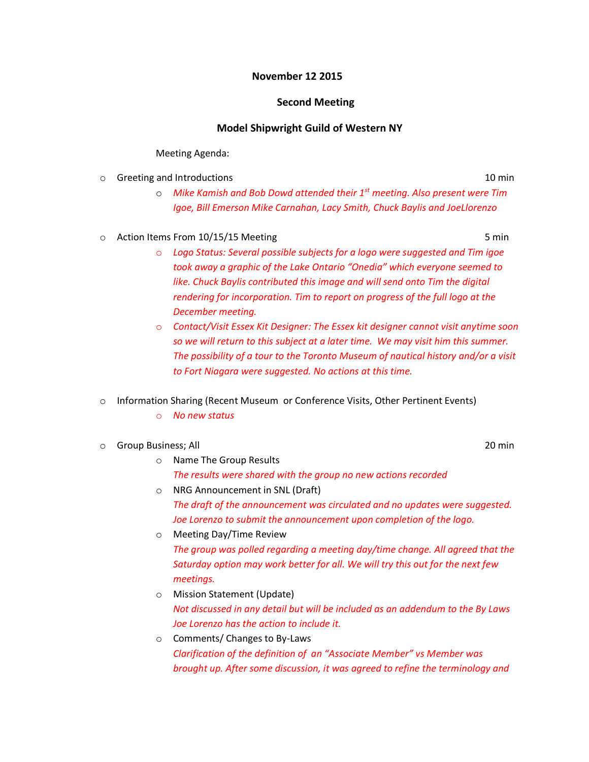## **November 12 2015**

## **Second Meeting**

## **Model Shipwright Guild of Western NY**

## Meeting Agenda:

o Greeting and Introductions 10 min

- o *Mike Kamish and Bob Dowd attended their 1st meeting. Also present were Tim Igoe, Bill Emerson Mike Carnahan, Lacy Smith, Chuck Baylis and JoeLlorenzo*
- o Action Items From 10/15/15 Meeting 5 min
	- o *Logo Status: Several possible subjects for a logo were suggested and Tim igoe took away a graphic of the Lake Ontario "Onedia" which everyone seemed to like. Chuck Baylis contributed this image and will send onto Tim the digital rendering for incorporation. Tim to report on progress of the full logo at the December meeting.*
	- o *Contact/Visit Essex Kit Designer: The Essex kit designer cannot visit anytime soon so we will return to this subject at a later time. We may visit him this summer. The possibility of a tour to the Toronto Museum of nautical history and/or a visit to Fort Niagara were suggested. No actions at this time.*
- o Information Sharing (Recent Museum or Conference Visits, Other Pertinent Events)
	- o *No new status*
- o Group Business; All 20 min
	- o Name The Group Results *The results were shared with the group no new actions recorded*
	- o NRG Announcement in SNL (Draft) *The draft of the announcement was circulated and no updates were suggested. Joe Lorenzo to submit the announcement upon completion of the logo.*
	- o Meeting Day/Time Review *The group was polled regarding a meeting day/time change. All agreed that the Saturday option may work better for all. We will try this out for the next few meetings.*
	- o Mission Statement (Update) *Not discussed in any detail but will be included as an addendum to the By Laws Joe Lorenzo has the action to include it.*
	- o Comments/ Changes to By-Laws *Clarification of the definition of an "Associate Member" vs Member was brought up. After some discussion, it was agreed to refine the terminology and*